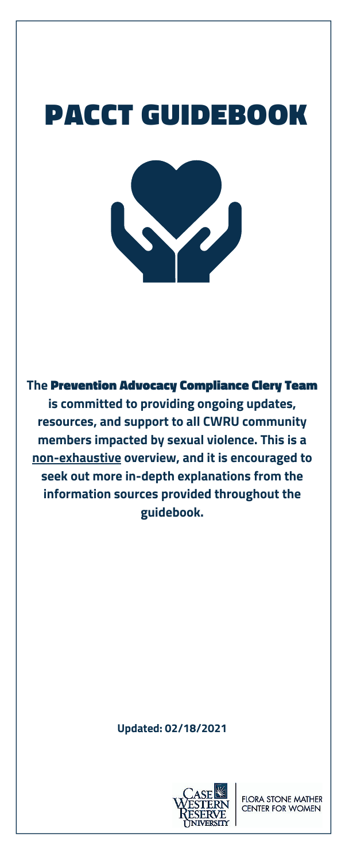# PACCT GUIDEBOOK



**The** Prevention Advocacy Compliance Clery Team **is committed to providing ongoing updates, resources, and support to all CWRU community members impacted by sexual violence. This is a non-exhaustive overview, and it is encouraged to seek out more in-depth explanations from the information sources provided throughout the guidebook.**

#### **Updated: 02/18/2021**



**FLORA STONE MATHER CENTER FOR WOMEN**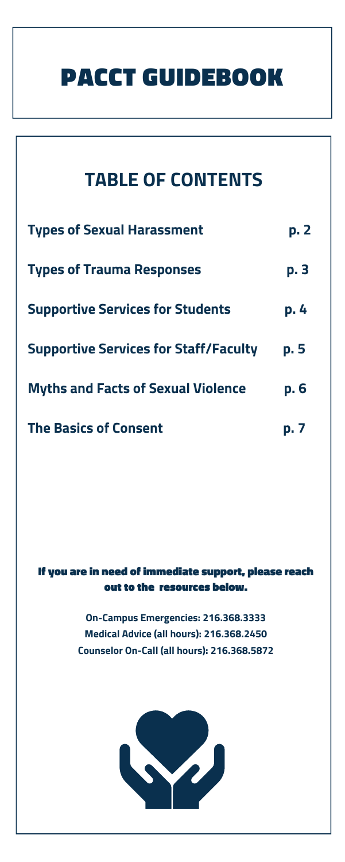### PACCT GUIDEBOOK

| <b>TABLE OF CONTENTS</b>                     |             |
|----------------------------------------------|-------------|
| <b>Types of Sexual Harassment</b>            | p. 2        |
| <b>Types of Trauma Responses</b>             | p. 3        |
| <b>Supportive Services for Students</b>      | p. 4        |
| <b>Supportive Services for Staff/Faculty</b> | p. 5        |
| <b>Myths and Facts of Sexual Violence</b>    | <b>p. 6</b> |
| <b>The Basics of Consent</b>                 | p.7         |

#### If you are in need of immediate support, please reach out to the resources below.

**On-Campus Emergencies: 216.368.3333 Medical Advice (all hours): 216.368.2450 Counselor On-Call (all hours): 216.368.5872**

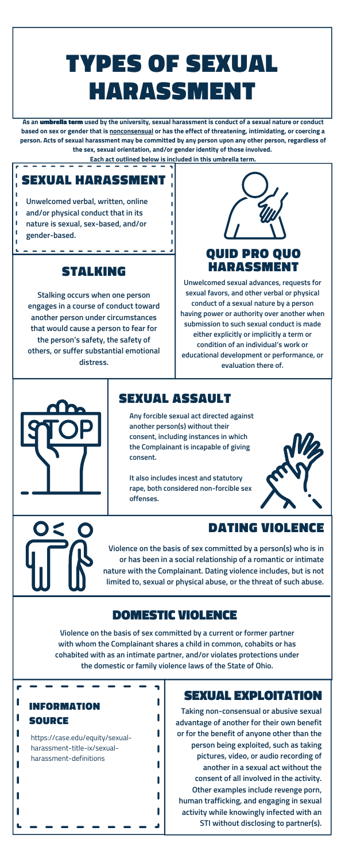**Any forcible sexual act directed against another person(s) without their consent, including instances in which the Complainant is incapable of giving consent.**

**It also includes incest and statutory rape, both considered non-forcible sex offenses.**



# TYPES OF SEXUAL HARASSMENT

**Unwelcomed sexual advances, requests for sexual favors, and other verbal or physical conduct of a sexual nature by a person having power or authority over another when submission to such sexual conduct is made either explicitly or implicitly a term or condition of an individual's work or educational development or performance, or evaluation there of.**



**Taking non-consensual or abusive sexual advantage of another for their own benefit or for the benefit of anyone other than the person being exploited, such as taking pictures, video, or audio recording of another in a sexual act without the consent of all involved in the activity. Other examples include revenge porn, human trafficking, and engaging in sexual activity while knowingly infected with an STI without disclosing to partner(s).**

#### QUID PRO QUO STALKING HARASSMENT

**As an** umbrella term **used by the university, sexual harassment is conduct of a sexual nature or conduct** based on sex or gender that is nonconsensual or has the effect of threatening, intimidating, or coercing a **person. Acts of sexual harassment may be committed by any person upon any other person, regardless of the sex, sexual orientation, and/or gender identity of those involved.**

**Each act outlined below is included in this umbrella term.**

**Violence on the basis of sex committed by a current or former partner with whom the Complainant shares a child in common, cohabits or has cohabited with as an intimate partner, and/or violates protections under the domestic or family violence laws of the State of Ohio.**

L

┚

**Stalking occurs when one person engages in a course of conduct toward another person under circumstances that would cause a person to fear for the person's safety, the safety of others, or suffer substantial emotional distress.**



**Violence on the basis of sex committed by a person(s) who is in or has been in a social relationship of a romantic or intimate nature with the Complainant. Dating violence includes, but is not limited to, sexual or physical abuse, or the threat of such abuse.**

#### SEXUAL HARASSMENT

**Unwelcomed verbal, written, online and/or physical conduct that in its nature is sexual, sex-based, and/or gender-based.**

 $\mathbf{I}$  $\mathbf{I}$  $\mathbf{I}$ 

#### SEXUAL ASSAULT

#### DATING VIOLENCE

#### DOMESTIC VIOLENCE

#### SEXUAL EXPLOITATION

#### INFORMATION SOURCE

https://case.edu/equity/sexualharassment-title-ix/sexualharassment-definitions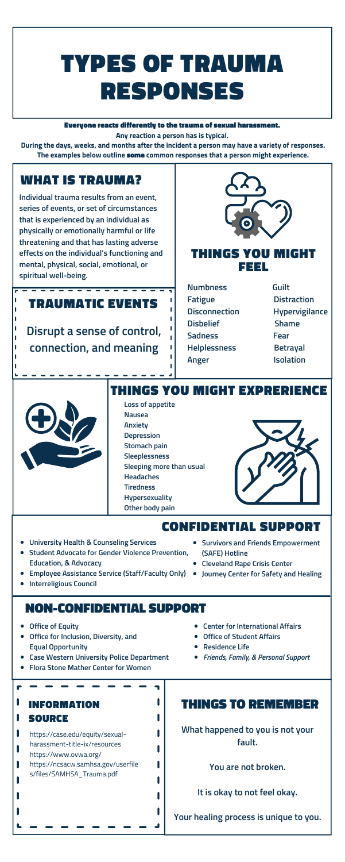# TYPES OF TRAUMA RESPONSES

**Loss of appetite Nausea Anxiety Depression Stomach pain Sleeplessness Sleeping more than usual Headaches Tiredness Hypersexuality Other body pain**

7

L

L

L

L

▁▌

- **Numbness Guilt Fatigue Distraction Disconnection Hypervigilance Disbelief Shame Sadness Fear Helplessness Betrayal Anger Isolation**
- 



Everyone reacts differently to the trauma of sexual harassment. **Any reaction a person has is typical.**

**During the days, weeks, and months after the incident a person may have a variety of responses. The examples below outline** some **common responses that a person might experience.**

- **Office of Equity**
- **Office for Inclusion, Diversity, and Equal Opportunity**
- **Case Western University Police Department**
- **Flora Stone Mather Center for Women**

**Disrupt a sense of control, connection, and meaning**



**What happened to you is not your fault.**

**You are not broken.**

**It is okay to not feel okay.**

**Your healing process is unique to you.**

#### WHAT IS TRAUMA?

#### THINGS YOU MIGHT FEEL

#### TRAUMATIC EVENTS

#### THINGS YOU MIGHT EXPRERIENCE

#### CONFIDENTIAL SUPPORT

#### NON-CONFIDENTIAL SUPPORT

#### INFORMATION THINGS TO REMEMBER

#### SOURCE

https://case.edu/equity/sexual-

- harassment-title-ix/resources
- https://www.ovwa.org/
- https://ncsacw.samhsa.gov/userfile s/files/SAMHSA\_Trauma.pdf

**Individual trauma results from an event, series of events, or set of circumstances that is experienced by an individual as physically or emotionally harmful or life threatening and that has lasting adverse effects on the individual's functioning and mental, physical, social, emotional, or spiritual well-being.**

- **University Health & Counseling Services**
- **Student Advocate for Gender Violence Prevention, Education, & Advocacy**
- **Employee Assistance Service (Staff/Faculty Only) Journey Center for Safety and Healing**
- **Interreligious Council**
- **Survivors and Friends Empowerment (SAFE) Hotline**
- **Cleveland Rape Crisis Center**
- 
- **Center for International Affairs**
- **Office of Student Affairs**
- **Residence Life**
- *Friends, Family, & Personal Support*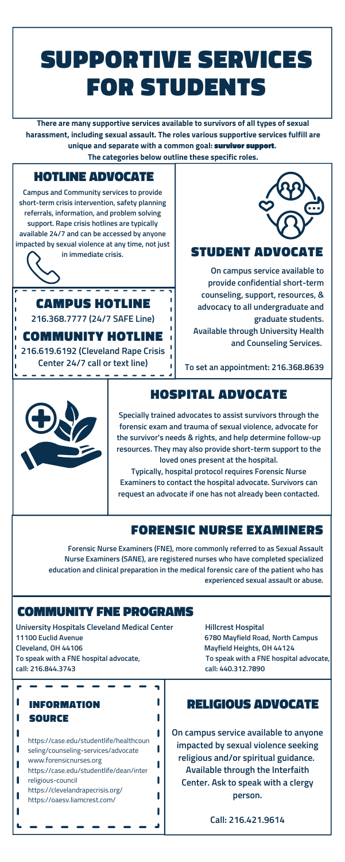### SUPPORTIVE SERVICES FOR STUDENTS

**On campus service available to provide confidential short-term counseling, support, resources, & advocacy to all undergraduate and graduate students. Available through University Health and Counseling Services.**

**To set an appointment: 216.368.8639**



**There are many supportive services available to survivors of all types of sexual harassment, including sexual assault. The roles various supportive services fulfill are unique and separate with a common goal:** survivor support**.**

**The categories below outline these specific roles.**

**On campus service available to anyone impacted by sexual violence seeking religious and/or spiritual guidance. Available through the Interfaith Center. Ask to speak with a clergy person.**

**Call: 216.421.9614**

#### STUDENT ADVOCATE

CAMPUS HOTLINE

#### HOSPITAL ADVOCATE

#### FORENSIC NURSE EXAMINERS

#### COMMUNITY FNE PROGRAMS

#### INFORMATION RELIGIOUS ADVOCATE

### SOURCE

https://case.edu/studentlife/healthcoun seling/counseling-services/advocate www.forensicnurses.org https://case.edu/studentlife/dean/inter religious-council https://clevelandrapecrisis.org/ https://oaesv.liamcrest.com/

#### HOTLINE ADVOCATE

**Campus and Community services to provide short-term crisis intervention, safety planning referrals, information, and problem solving support. Rape crisis hotlines are typically available 24/7 and can be accessed by anyone impacted by sexual violence at any time, not just in immediate crisis.**

**216.368.7777 (24/7 SAFE Line)**

COMMUNITY HOTLINE **216.619.6192 (Cleveland Rape Crisis Center 24/7 call or text line)**



**Specially trained advocates to assist survivors through the forensic exam and trauma of sexual violence, advocate for the survivor's needs & rights, and help determine follow-up resources. They may also provide short-term support to the loved ones present at the hospital.**

**Typically, hospital protocol requires Forensic Nurse Examiners to contact the hospital advocate. Survivors can request an advocate if one has not already been contacted.**

**Forensic Nurse Examiners (FNE), more commonly referred to as Sexual Assault Nurse Examiners (SANE), are registered nurses who have completed specialized education and clinical preparation in the medical forensic care of the patient who has experienced sexual assault or abuse.**

7

┚

**University Hospitals Cleveland Medical Center Hillcrest Hospital 11100 Euclid Avenue 6780 Mayfield Road, North Campus Cleveland, OH 44106 Mayfield Heights, OH 44124 To speak with a FNE hospital advocate, To speak with a FNE hospital advocate, call: 216.844.3743 call: 440.312.7890**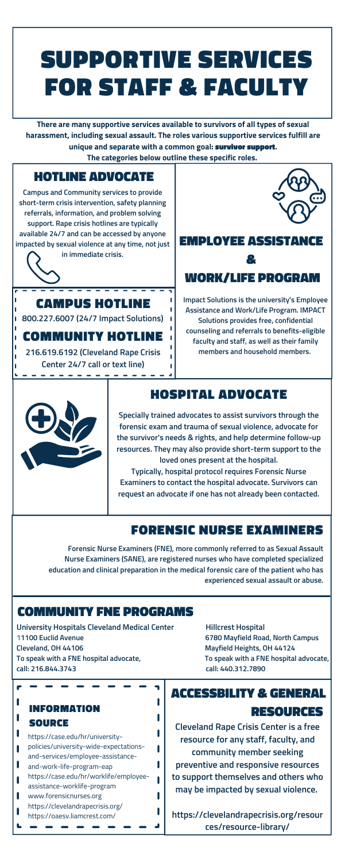### SUPPORTIVE SERVICES FOR STAFF & FACULTY

**There are many supportive services available to survivors of all types of sexual harassment, including sexual assault. The roles various supportive services fulfill are unique and separate with a common goal:** survivor support**.**

**The categories below outline these specific roles.**

**Cleveland Rape Crisis Center is a free resource for any staff, faculty, and community member seeking preventive and responsive resources to support themselves and others who may be impacted by sexual violence.**

**https://clevelandrapecrisis.org/resour ces/resource-library/**

#### CAMPUS HOTLINE

#### HOSPITAL ADVOCATE

#### FORENSIC NURSE EXAMINERS

#### COMMUNITY FNE PROGRAMS

### ACCESSBILITY & GENERAL

#### RESOURCES

#### INFORMATION SOURCE

https://case.edu/hr/universitypolicies/university-wide-expectationsand-services/employee-assistanceand-work-life-program-eap https://case.edu/hr/worklife/employeeassistance-worklife-program www.forensicnurses.org https://clevelandrapecrisis.org/ https://oaesv.liamcrest.com/

#### HOTLINE ADVOCATE

**Campus and Community services to provide short-term crisis intervention, safety planning referrals, information, and problem solving support. Rape crisis hotlines are typically available 24/7 and can be accessed by anyone impacted by sexual violence at any time, not just in immediate crisis.**

### EMPLOYEE ASSIST & WORK/LIFE PROGRAM

**800.227.6007 (24/7 Impact Solutions)**

#### COMMUNITY HOTLINE

**216.619.6192 (Cleveland Rape Crisis Center 24/7 call or text line)**

 $\frac{1}{2}$ 



**Specially trained advocates to assist survivors through the forensic exam and trauma of sexual violence, advocate for the survivor's needs & rights, and help determine follow-up resources. They may also provide short-term support to the loved ones present at the hospital.**

**Typically, hospital protocol requires Forensic Nurse Examiners to contact the hospital advocate. Survivors can request an advocate if one has not already been contacted.**

**Forensic Nurse Examiners (FNE), more commonly referred to as Sexual Assault Nurse Examiners (SANE), are registered nurses who have completed specialized education and clinical preparation in the medical forensic care of the patient who has experienced sexual assault or abuse.**

T

 $\blacksquare$ 

**University Hospitals Cleveland Medical Center Hillcrest Hospital** 1**1100 Euclid Avenue 6780 Mayfield Road, North Campus Cleveland, OH 44106 Mayfield Heights, OH 44124 To speak with a FNE hospital advocate, To speak with a FNE hospital advocate, call: 216.844.3743 call: 440.312.7890**

**Impact Solutions is the university's Employee Assistance and Work/Life Program. IMPACT Solutions provides free, confidential counseling and referrals to benefits-eligible faculty and staff, as well as their family members and household members.**

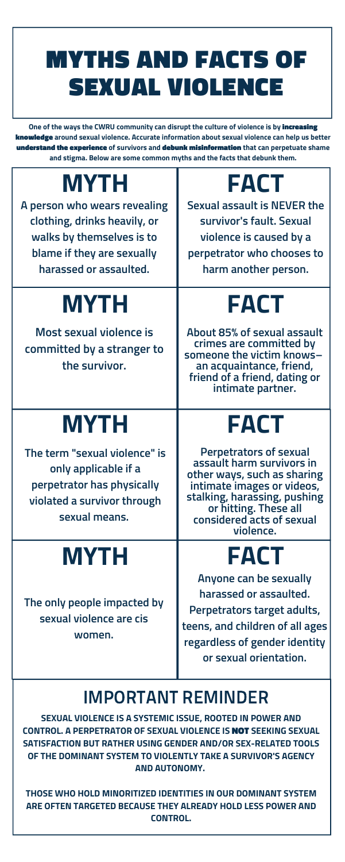# MYTHS AND FACTS OF SEXUAL VIOLENCE

**One of the ways the CWRU community can disrupt the culture of violence is by** increasing knowledge **around sexual violence. Accurate information about sexual violence can help us better** understand the experience **of survivors and** debunk misinformation **that can perpetuate shame and stigma. Below are some common myths and the facts that debunk them.**

## **MYTH**

### **MYTH**

### **MYTH**

# **FACT**

# **FACT**

# **FACT**

**A person who wears revealing clothing, drinks heavily, or walks by themselves is to blame if they are sexually harassed or assaulted.**

**Sexual assault is NEVER the survivor's fault. Sexual violence is caused by a perpetrator who chooses to harm another person.**

**Most sexual violence is committed by a stranger to the survivor.**

**About 85% of sexual assault crimes are committed by someone the victim knows– an acquaintance, friend, friend of a friend, dating or intimate partner.**

| sexual means.                                                    | considered acts of sexual<br>violence. |
|------------------------------------------------------------------|----------------------------------------|
| MYTH                                                             | FACT                                   |
| The only people impacted by<br>sexual violence are cis<br>women. | Anyone can be sexually                 |
|                                                                  | harassed or assaulted.                 |
|                                                                  | Perpetrators target adults,            |
|                                                                  | teens, and children of all ages        |
|                                                                  | regardless of gender identity          |
|                                                                  | or sexual orientation.                 |

**The term "sexual violence" is only applicable if a perpetrator has physically violated a survivor through**

**Perpetrators of sexual assault harm survivors in other ways, such as sharing intimate images or videos, stalking, harassing, pushing or hitting. These all**

**SEXUAL VIOLENCE IS A SYSTEMIC ISSUE, ROOTED IN POWER AND CONTROL. A PERPETRATOR OF SEXUAL VIOLENCE IS** NOT **SEEKING SEXUAL SATISFACTION BUT RATHER USING GENDER AND/OR SEX-RELATED TOOLS OF THE DOMINANT SYSTEM TO VIOLENTLY TAKE A SURVIVOR'S AGENCY AND AUTONOMY.**

**THOSE WHO HOLD MINORITIZED IDENTITIES IN OUR DOMINANT SYSTEM ARE OFTEN TARGETED BECAUSE THEY ALREADY HOLD LESS POWER AND CONTROL.**

### IMPORTANT REMINDER